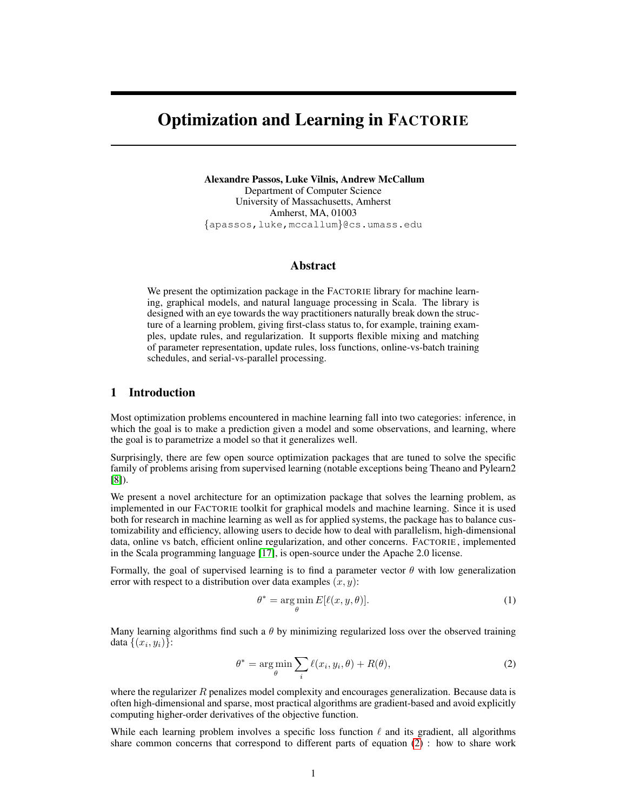# Optimization and Learning in FACTORIE

Alexandre Passos, Luke Vilnis, Andrew McCallum Department of Computer Science University of Massachusetts, Amherst Amherst, MA, 01003 {apassos,luke,mccallum}@cs.umass.edu

## Abstract

We present the optimization package in the FACTORIE library for machine learning, graphical models, and natural language processing in Scala. The library is designed with an eye towards the way practitioners naturally break down the structure of a learning problem, giving first-class status to, for example, training examples, update rules, and regularization. It supports flexible mixing and matching of parameter representation, update rules, loss functions, online-vs-batch training schedules, and serial-vs-parallel processing.

#### 1 Introduction

Most optimization problems encountered in machine learning fall into two categories: inference, in which the goal is to make a prediction given a model and some observations, and learning, where the goal is to parametrize a model so that it generalizes well.

Surprisingly, there are few open source optimization packages that are tuned to solve the specific family of problems arising from supervised learning (notable exceptions being Theano and Pylearn2 [\[8\]](#page-4-0)).

We present a novel architecture for an optimization package that solves the learning problem, as implemented in our FACTORIE toolkit for graphical models and machine learning. Since it is used both for research in machine learning as well as for applied systems, the package has to balance customizability and efficiency, allowing users to decide how to deal with parallelism, high-dimensional data, online vs batch, efficient online regularization, and other concerns. FACTORIE , implemented in the Scala programming language [\[17\]](#page-4-1), is open-source under the Apache 2.0 license.

Formally, the goal of supervised learning is to find a parameter vector  $\theta$  with low generalization error with respect to a distribution over data examples  $(x, y)$ :

<span id="page-0-0"></span>
$$
\theta^* = \underset{\theta}{\arg\min} E[\ell(x, y, \theta)].\tag{1}
$$

Many learning algorithms find such a  $\theta$  by minimizing regularized loss over the observed training data  $\{(x_i, y_i)\}$ :

$$
\theta^* = \underset{\theta}{\arg\min} \sum_i \ell(x_i, y_i, \theta) + R(\theta), \tag{2}
$$

where the regularizer  $R$  penalizes model complexity and encourages generalization. Because data is often high-dimensional and sparse, most practical algorithms are gradient-based and avoid explicitly computing higher-order derivatives of the objective function.

While each learning problem involves a specific loss function  $\ell$  and its gradient, all algorithms share common concerns that correspond to different parts of equation [\(2\)](#page-0-0) : how to share work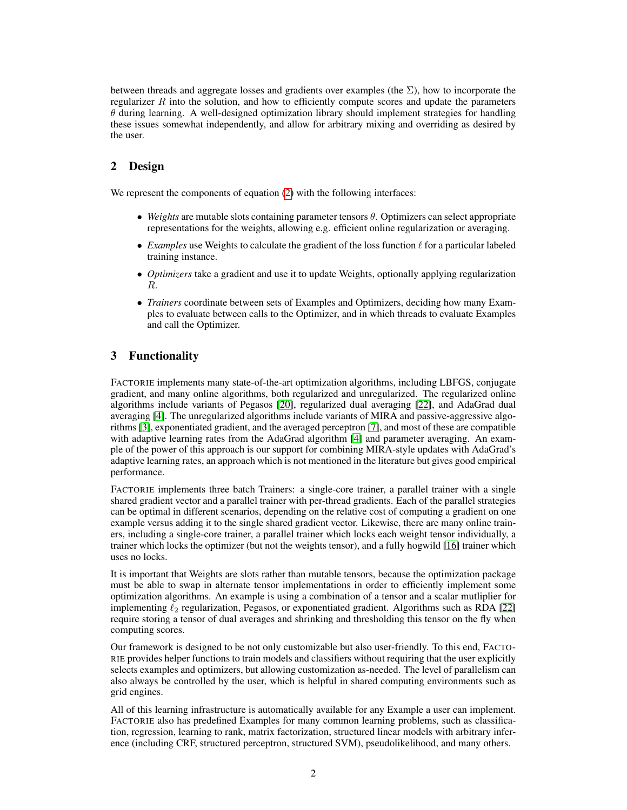between threads and aggregate losses and gradients over examples (the  $\Sigma$ ), how to incorporate the regularizer  $R$  into the solution, and how to efficiently compute scores and update the parameters  $\theta$  during learning. A well-designed optimization library should implement strategies for handling these issues somewhat independently, and allow for arbitrary mixing and overriding as desired by the user.

## 2 Design

We represent the components of equation [\(2\)](#page-0-0) with the following interfaces:

- $\bullet$  *Weights* are mutable slots containing parameter tensors  $\theta$ . Optimizers can select appropriate representations for the weights, allowing e.g. efficient online regularization or averaging.
- *Examples* use Weights to calculate the gradient of the loss function  $\ell$  for a particular labeled training instance.
- *Optimizers* take a gradient and use it to update Weights, optionally applying regularization R.
- *Trainers* coordinate between sets of Examples and Optimizers, deciding how many Examples to evaluate between calls to the Optimizer, and in which threads to evaluate Examples and call the Optimizer.

## 3 Functionality

FACTORIE implements many state-of-the-art optimization algorithms, including LBFGS, conjugate gradient, and many online algorithms, both regularized and unregularized. The regularized online algorithms include variants of Pegasos [\[20\]](#page-5-0), regularized dual averaging [\[22\]](#page-5-1), and AdaGrad dual averaging [\[4\]](#page-4-2). The unregularized algorithms include variants of MIRA and passive-aggressive algorithms [\[3\]](#page-4-3), exponentiated gradient, and the averaged perceptron [\[7\]](#page-4-4), and most of these are compatible with adaptive learning rates from the AdaGrad algorithm [\[4\]](#page-4-2) and parameter averaging. An example of the power of this approach is our support for combining MIRA-style updates with AdaGrad's adaptive learning rates, an approach which is not mentioned in the literature but gives good empirical performance.

FACTORIE implements three batch Trainers: a single-core trainer, a parallel trainer with a single shared gradient vector and a parallel trainer with per-thread gradients. Each of the parallel strategies can be optimal in different scenarios, depending on the relative cost of computing a gradient on one example versus adding it to the single shared gradient vector. Likewise, there are many online trainers, including a single-core trainer, a parallel trainer which locks each weight tensor individually, a trainer which locks the optimizer (but not the weights tensor), and a fully hogwild [\[16\]](#page-4-5) trainer which uses no locks.

It is important that Weights are slots rather than mutable tensors, because the optimization package must be able to swap in alternate tensor implementations in order to efficiently implement some optimization algorithms. An example is using a combination of a tensor and a scalar mutliplier for implementing  $\ell_2$  regularization, Pegasos, or exponentiated gradient. Algorithms such as RDA [\[22\]](#page-5-1) require storing a tensor of dual averages and shrinking and thresholding this tensor on the fly when computing scores.

Our framework is designed to be not only customizable but also user-friendly. To this end, FACTO-RIE provides helper functions to train models and classifiers without requiring that the user explicitly selects examples and optimizers, but allowing customization as-needed. The level of parallelism can also always be controlled by the user, which is helpful in shared computing environments such as grid engines.

All of this learning infrastructure is automatically available for any Example a user can implement. FACTORIE also has predefined Examples for many common learning problems, such as classification, regression, learning to rank, matrix factorization, structured linear models with arbitrary inference (including CRF, structured perceptron, structured SVM), pseudolikelihood, and many others.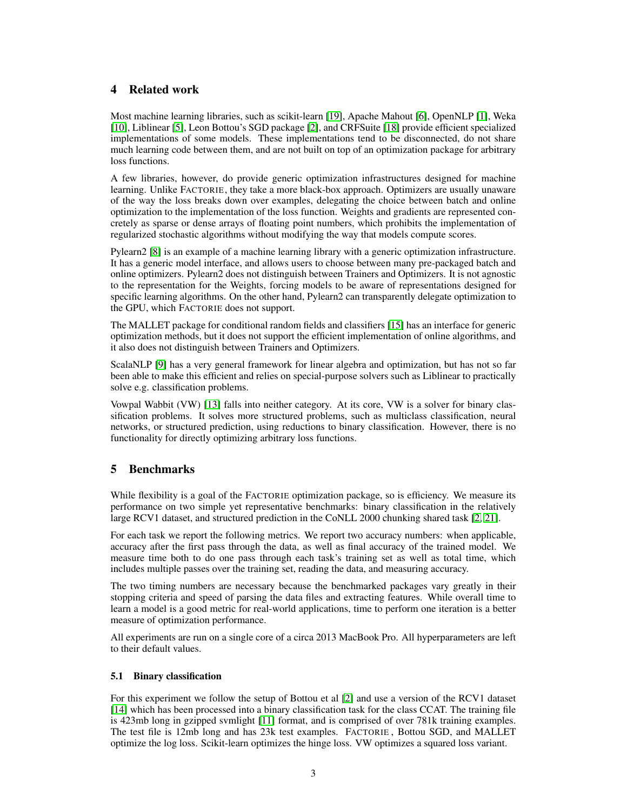## 4 Related work

Most machine learning libraries, such as scikit-learn [\[19\]](#page-4-6), Apache Mahout [\[6\]](#page-4-7), OpenNLP [\[1\]](#page-4-8), Weka [\[10\]](#page-4-9), Liblinear [\[5\]](#page-4-10), Leon Bottou's SGD package [\[2\]](#page-4-11), and CRFSuite [\[18\]](#page-4-12) provide efficient specialized implementations of some models. These implementations tend to be disconnected, do not share much learning code between them, and are not built on top of an optimization package for arbitrary loss functions.

A few libraries, however, do provide generic optimization infrastructures designed for machine learning. Unlike FACTORIE, they take a more black-box approach. Optimizers are usually unaware of the way the loss breaks down over examples, delegating the choice between batch and online optimization to the implementation of the loss function. Weights and gradients are represented concretely as sparse or dense arrays of floating point numbers, which prohibits the implementation of regularized stochastic algorithms without modifying the way that models compute scores.

Pylearn2 [\[8\]](#page-4-0) is an example of a machine learning library with a generic optimization infrastructure. It has a generic model interface, and allows users to choose between many pre-packaged batch and online optimizers. Pylearn2 does not distinguish between Trainers and Optimizers. It is not agnostic to the representation for the Weights, forcing models to be aware of representations designed for specific learning algorithms. On the other hand, Pylearn2 can transparently delegate optimization to the GPU, which FACTORIE does not support.

The MALLET package for conditional random fields and classifiers [\[15\]](#page-4-13) has an interface for generic optimization methods, but it does not support the efficient implementation of online algorithms, and it also does not distinguish between Trainers and Optimizers.

ScalaNLP [\[9\]](#page-4-14) has a very general framework for linear algebra and optimization, but has not so far been able to make this efficient and relies on special-purpose solvers such as Liblinear to practically solve e.g. classification problems.

Vowpal Wabbit (VW) [\[13\]](#page-4-15) falls into neither category. At its core, VW is a solver for binary classification problems. It solves more structured problems, such as multiclass classification, neural networks, or structured prediction, using reductions to binary classification. However, there is no functionality for directly optimizing arbitrary loss functions.

## 5 Benchmarks

While flexibility is a goal of the FACTORIE optimization package, so is efficiency. We measure its performance on two simple yet representative benchmarks: binary classification in the relatively large RCV1 dataset, and structured prediction in the CoNLL 2000 chunking shared task [\[2,](#page-4-11) [21\]](#page-5-2).

For each task we report the following metrics. We report two accuracy numbers: when applicable, accuracy after the first pass through the data, as well as final accuracy of the trained model. We measure time both to do one pass through each task's training set as well as total time, which includes multiple passes over the training set, reading the data, and measuring accuracy.

The two timing numbers are necessary because the benchmarked packages vary greatly in their stopping criteria and speed of parsing the data files and extracting features. While overall time to learn a model is a good metric for real-world applications, time to perform one iteration is a better measure of optimization performance.

All experiments are run on a single core of a circa 2013 MacBook Pro. All hyperparameters are left to their default values.

### 5.1 Binary classification

For this experiment we follow the setup of Bottou et al [\[2\]](#page-4-11) and use a version of the RCV1 dataset [\[14\]](#page-4-16) which has been processed into a binary classification task for the class CCAT. The training file is 423mb long in gzipped svmlight [\[11\]](#page-4-17) format, and is comprised of over 781k training examples. The test file is 12mb long and has 23k test examples. FACTORIE , Bottou SGD, and MALLET optimize the log loss. Scikit-learn optimizes the hinge loss. VW optimizes a squared loss variant.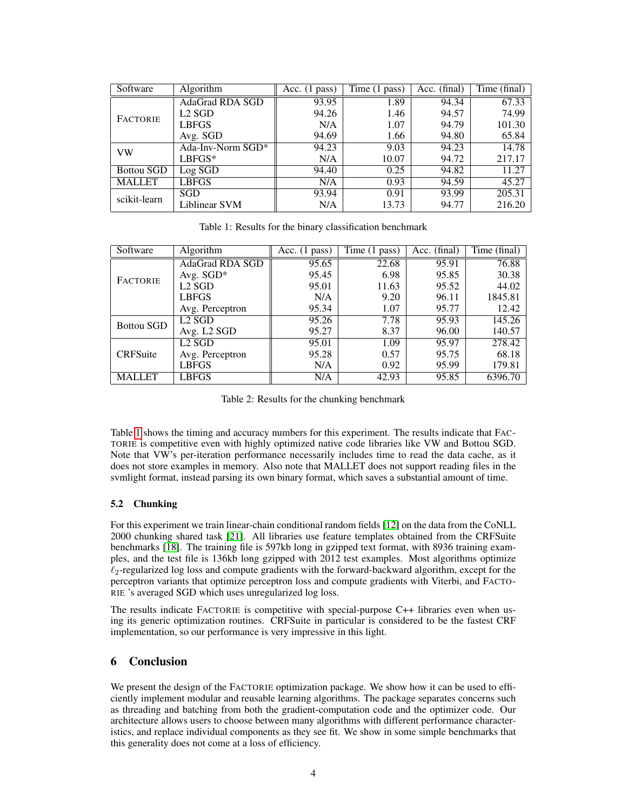| Software          | Algorithm         | Acc. $(1 \text{ pass})$ | Time (1 pass) | Acc. (final) | Time (final) |
|-------------------|-------------------|-------------------------|---------------|--------------|--------------|
| <b>FACTORIE</b>   | AdaGrad RDA SGD   | 93.95                   | 1.89          | 94.34        | 67.33        |
|                   | $L2$ SGD          | 94.26                   | 1.46          | 94.57        | 74.99        |
|                   | LBFGS             | N/A                     | 1.07          | 94.79        | 101.30       |
|                   | Avg. SGD          | 94.69                   | 1.66          | 94.80        | 65.84        |
| VW                | Ada-Inv-Norm SGD* | 94.23                   | 9.03          | 94.23        | 14.78        |
|                   | $LBFGS*$          | N/A                     | 10.07         | 94.72        | 217.17       |
| <b>Bottou SGD</b> | Log SGD           | 94.40                   | 0.25          | 94.82        | 11.27        |
| <b>MALLET</b>     | LBFGS             | N/A                     | 0.93          | 94.59        | 45.27        |
| scikit-learn      | SGD               | 93.94                   | 0.91          | 93.99        | 205.31       |
|                   | Liblinear SVM     | N/A                     | 13.73         | 94.77        | 216.20       |

<span id="page-3-0"></span>Table 1: Results for the binary classification benchmark

| Software          | Algorithm               | Acc. $(1$ pass) | $\overline{\text{Time}}$ (1 pass) | Acc. (final) | Time (final) |
|-------------------|-------------------------|-----------------|-----------------------------------|--------------|--------------|
| <b>FACTORIE</b>   | <b>AdaGrad RDA SGD</b>  | 95.65           | 22.68                             | 95.91        | 76.88        |
|                   | Avg. SGD*               | 95.45           | 6.98                              | 95.85        | 30.38        |
|                   | $L2$ SGD                | 95.01           | 11.63                             | 95.52        | 44.02        |
|                   | <b>LBFGS</b>            | N/A             | 9.20                              | 96.11        | 1845.81      |
|                   | Avg. Perceptron         | 95.34           | 1.07                              | 95.77        | 12.42        |
| <b>Bottou SGD</b> | $L2$ SGD                | 95.26           | 7.78                              | 95.93        | 145.26       |
|                   | Avg. L <sub>2</sub> SGD | 95.27           | 8.37                              | 96.00        | 140.57       |
| <b>CRFSuite</b>   | $L2$ SGD                | 95.01           | 1.09                              | 95.97        | 278.42       |
|                   | Avg. Perceptron         | 95.28           | 0.57                              | 95.75        | 68.18        |
|                   | <b>LBFGS</b>            | N/A             | 0.92                              | 95.99        | 179.81       |
| <b>MALLET</b>     | <b>LBFGS</b>            | N/A             | 42.93                             | 95.85        | 6396.70      |

Table 2: Results for the chunking benchmark

Table [1](#page-3-0) shows the timing and accuracy numbers for this experiment. The results indicate that FAC-TORIE is competitive even with highly optimized native code libraries like VW and Bottou SGD. Note that VW's per-iteration performance necessarily includes time to read the data cache, as it does not store examples in memory. Also note that MALLET does not support reading files in the svmlight format, instead parsing its own binary format, which saves a substantial amount of time.

### 5.2 Chunking

For this experiment we train linear-chain conditional random fields [\[12\]](#page-4-18) on the data from the CoNLL 2000 chunking shared task [\[21\]](#page-5-2). All libraries use feature templates obtained from the CRFSuite benchmarks [\[18\]](#page-4-12). The training file is 597kb long in gzipped text format, with 8936 training examples, and the test file is 136kb long gzipped with 2012 test examples. Most algorithms optimize  $\ell_2$ -regularized log loss and compute gradients with the forward-backward algorithm, except for the perceptron variants that optimize perceptron loss and compute gradients with Viterbi, and FACTO-RIE 's averaged SGD which uses unregularized log loss.

The results indicate FACTORIE is competitive with special-purpose C++ libraries even when using its generic optimization routines. CRFSuite in particular is considered to be the fastest CRF implementation, so our performance is very impressive in this light.

## 6 Conclusion

We present the design of the FACTORIE optimization package. We show how it can be used to efficiently implement modular and reusable learning algorithms. The package separates concerns such as threading and batching from both the gradient-computation code and the optimizer code. Our architecture allows users to choose between many algorithms with different performance characteristics, and replace individual components as they see fit. We show in some simple benchmarks that this generality does not come at a loss of efficiency.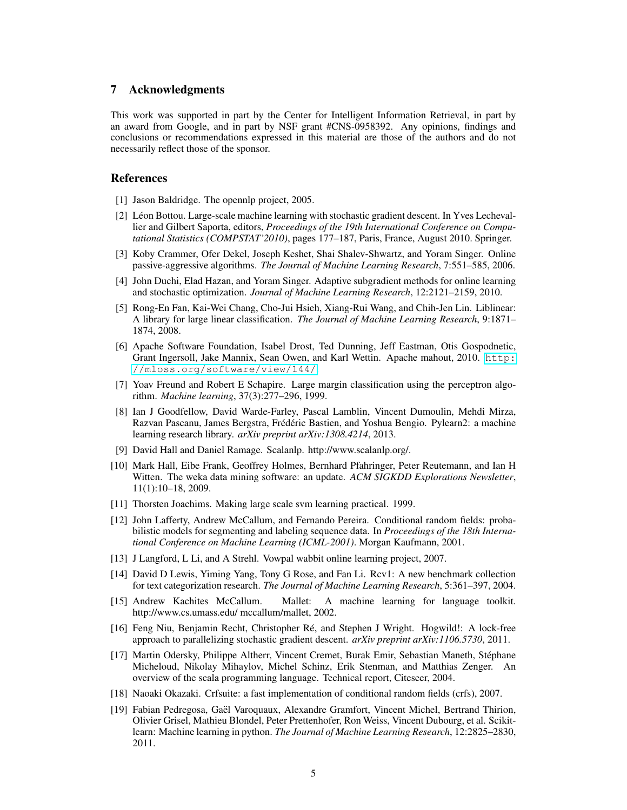#### 7 Acknowledgments

This work was supported in part by the Center for Intelligent Information Retrieval, in part by an award from Google, and in part by NSF grant #CNS-0958392. Any opinions, findings and conclusions or recommendations expressed in this material are those of the authors and do not necessarily reflect those of the sponsor.

#### References

- <span id="page-4-8"></span>[1] Jason Baldridge. The opennlp project, 2005.
- <span id="page-4-11"></span>[2] Léon Bottou. Large-scale machine learning with stochastic gradient descent. In Yves Lechevallier and Gilbert Saporta, editors, *Proceedings of the 19th International Conference on Computational Statistics (COMPSTAT'2010)*, pages 177–187, Paris, France, August 2010. Springer.
- <span id="page-4-3"></span>[3] Koby Crammer, Ofer Dekel, Joseph Keshet, Shai Shalev-Shwartz, and Yoram Singer. Online passive-aggressive algorithms. *The Journal of Machine Learning Research*, 7:551–585, 2006.
- <span id="page-4-2"></span>[4] John Duchi, Elad Hazan, and Yoram Singer. Adaptive subgradient methods for online learning and stochastic optimization. *Journal of Machine Learning Research*, 12:2121–2159, 2010.
- <span id="page-4-10"></span>[5] Rong-En Fan, Kai-Wei Chang, Cho-Jui Hsieh, Xiang-Rui Wang, and Chih-Jen Lin. Liblinear: A library for large linear classification. *The Journal of Machine Learning Research*, 9:1871– 1874, 2008.
- <span id="page-4-7"></span>[6] Apache Software Foundation, Isabel Drost, Ted Dunning, Jeff Eastman, Otis Gospodnetic, Grant Ingersoll, Jake Mannix, Sean Owen, and Karl Wettin. Apache mahout, 2010. [http:](http://mloss.org/software/view/144/) [//mloss.org/software/view/144/](http://mloss.org/software/view/144/).
- <span id="page-4-4"></span>[7] Yoav Freund and Robert E Schapire. Large margin classification using the perceptron algorithm. *Machine learning*, 37(3):277–296, 1999.
- <span id="page-4-0"></span>[8] Ian J Goodfellow, David Warde-Farley, Pascal Lamblin, Vincent Dumoulin, Mehdi Mirza, Razvan Pascanu, James Bergstra, Frédéric Bastien, and Yoshua Bengio. Pylearn2: a machine learning research library. *arXiv preprint arXiv:1308.4214*, 2013.
- <span id="page-4-14"></span>[9] David Hall and Daniel Ramage. Scalanlp. http://www.scalanlp.org/.
- <span id="page-4-9"></span>[10] Mark Hall, Eibe Frank, Geoffrey Holmes, Bernhard Pfahringer, Peter Reutemann, and Ian H Witten. The weka data mining software: an update. *ACM SIGKDD Explorations Newsletter*, 11(1):10–18, 2009.
- <span id="page-4-17"></span>[11] Thorsten Joachims. Making large scale svm learning practical. 1999.
- <span id="page-4-18"></span>[12] John Lafferty, Andrew McCallum, and Fernando Pereira. Conditional random fields: probabilistic models for segmenting and labeling sequence data. In *Proceedings of the 18th International Conference on Machine Learning (ICML-2001)*. Morgan Kaufmann, 2001.
- <span id="page-4-15"></span>[13] J Langford, L Li, and A Strehl. Vowpal wabbit online learning project, 2007.
- <span id="page-4-16"></span>[14] David D Lewis, Yiming Yang, Tony G Rose, and Fan Li. Rcv1: A new benchmark collection for text categorization research. *The Journal of Machine Learning Research*, 5:361–397, 2004.
- <span id="page-4-13"></span>[15] Andrew Kachites McCallum. Mallet: A machine learning for language toolkit. http://www.cs.umass.edu/ mccallum/mallet, 2002.
- <span id="page-4-5"></span>[16] Feng Niu, Benjamin Recht, Christopher Re, and Stephen J Wright. Hogwild!: A lock-free ´ approach to parallelizing stochastic gradient descent. *arXiv preprint arXiv:1106.5730*, 2011.
- <span id="page-4-1"></span>[17] Martin Odersky, Philippe Altherr, Vincent Cremet, Burak Emir, Sebastian Maneth, Stephane ´ Micheloud, Nikolay Mihaylov, Michel Schinz, Erik Stenman, and Matthias Zenger. An overview of the scala programming language. Technical report, Citeseer, 2004.
- <span id="page-4-12"></span>[18] Naoaki Okazaki. Crfsuite: a fast implementation of conditional random fields (crfs), 2007.
- <span id="page-4-6"></span>[19] Fabian Pedregosa, Gael Varoquaux, Alexandre Gramfort, Vincent Michel, Bertrand Thirion, ¨ Olivier Grisel, Mathieu Blondel, Peter Prettenhofer, Ron Weiss, Vincent Dubourg, et al. Scikitlearn: Machine learning in python. *The Journal of Machine Learning Research*, 12:2825–2830, 2011.